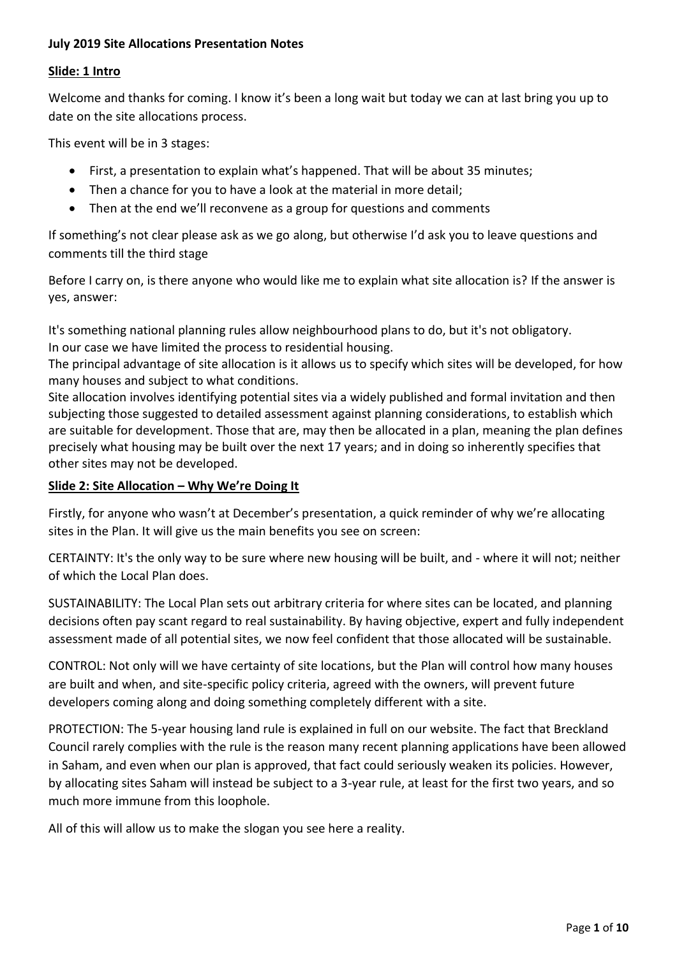### **July 2019 Site Allocations Presentation Notes**

#### **Slide: 1 Intro**

Welcome and thanks for coming. I know it's been a long wait but today we can at last bring you up to date on the site allocations process.

This event will be in 3 stages:

- First, a presentation to explain what's happened. That will be about 35 minutes;
- Then a chance for you to have a look at the material in more detail;
- Then at the end we'll reconvene as a group for questions and comments

If something's not clear please ask as we go along, but otherwise I'd ask you to leave questions and comments till the third stage

Before I carry on, is there anyone who would like me to explain what site allocation is? If the answer is yes, answer:

It's something national planning rules allow neighbourhood plans to do, but it's not obligatory. In our case we have limited the process to residential housing.

The principal advantage of site allocation is it allows us to specify which sites will be developed, for how many houses and subject to what conditions.

Site allocation involves identifying potential sites via a widely published and formal invitation and then subjecting those suggested to detailed assessment against planning considerations, to establish which are suitable for development. Those that are, may then be allocated in a plan, meaning the plan defines precisely what housing may be built over the next 17 years; and in doing so inherently specifies that other sites may not be developed.

# **Slide 2: Site Allocation – Why We're Doing It**

Firstly, for anyone who wasn't at December's presentation, a quick reminder of why we're allocating sites in the Plan. It will give us the main benefits you see on screen:

CERTAINTY: It's the only way to be sure where new housing will be built, and - where it will not; neither of which the Local Plan does.

SUSTAINABILITY: The Local Plan sets out arbitrary criteria for where sites can be located, and planning decisions often pay scant regard to real sustainability. By having objective, expert and fully independent assessment made of all potential sites, we now feel confident that those allocated will be sustainable.

CONTROL: Not only will we have certainty of site locations, but the Plan will control how many houses are built and when, and site-specific policy criteria, agreed with the owners, will prevent future developers coming along and doing something completely different with a site.

PROTECTION: The 5-year housing land rule is explained in full on our website. The fact that Breckland Council rarely complies with the rule is the reason many recent planning applications have been allowed in Saham, and even when our plan is approved, that fact could seriously weaken its policies. However, by allocating sites Saham will instead be subject to a 3-year rule, at least for the first two years, and so much more immune from this loophole.

All of this will allow us to make the slogan you see here a reality.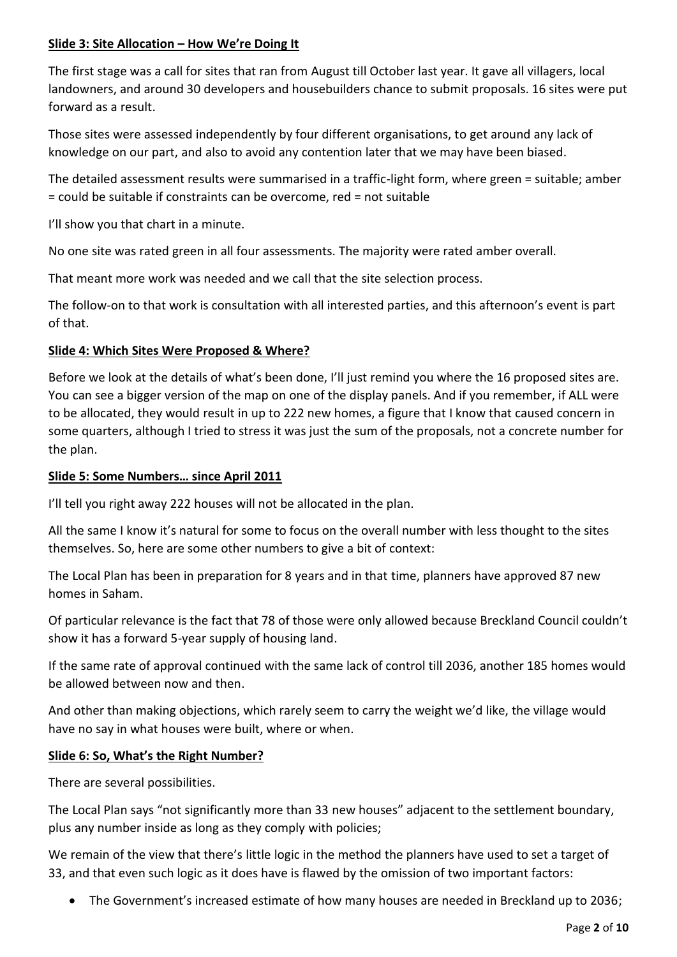# **Slide 3: Site Allocation – How We're Doing It**

The first stage was a call for sites that ran from August till October last year. It gave all villagers, local landowners, and around 30 developers and housebuilders chance to submit proposals. 16 sites were put forward as a result.

Those sites were assessed independently by four different organisations, to get around any lack of knowledge on our part, and also to avoid any contention later that we may have been biased.

The detailed assessment results were summarised in a traffic-light form, where green = suitable; amber = could be suitable if constraints can be overcome, red = not suitable

I'll show you that chart in a minute.

No one site was rated green in all four assessments. The majority were rated amber overall.

That meant more work was needed and we call that the site selection process.

The follow-on to that work is consultation with all interested parties, and this afternoon's event is part of that.

### **Slide 4: Which Sites Were Proposed & Where?**

Before we look at the details of what's been done, I'll just remind you where the 16 proposed sites are. You can see a bigger version of the map on one of the display panels. And if you remember, if ALL were to be allocated, they would result in up to 222 new homes, a figure that I know that caused concern in some quarters, although I tried to stress it was just the sum of the proposals, not a concrete number for the plan.

### **Slide 5: Some Numbers… since April 2011**

I'll tell you right away 222 houses will not be allocated in the plan.

All the same I know it's natural for some to focus on the overall number with less thought to the sites themselves. So, here are some other numbers to give a bit of context:

The Local Plan has been in preparation for 8 years and in that time, planners have approved 87 new homes in Saham.

Of particular relevance is the fact that 78 of those were only allowed because Breckland Council couldn't show it has a forward 5-year supply of housing land.

If the same rate of approval continued with the same lack of control till 2036, another 185 homes would be allowed between now and then.

And other than making objections, which rarely seem to carry the weight we'd like, the village would have no say in what houses were built, where or when.

# **Slide 6: So, What's the Right Number?**

There are several possibilities.

The Local Plan says "not significantly more than 33 new houses" adjacent to the settlement boundary, plus any number inside as long as they comply with policies;

We remain of the view that there's little logic in the method the planners have used to set a target of 33, and that even such logic as it does have is flawed by the omission of two important factors:

• The Government's increased estimate of how many houses are needed in Breckland up to 2036;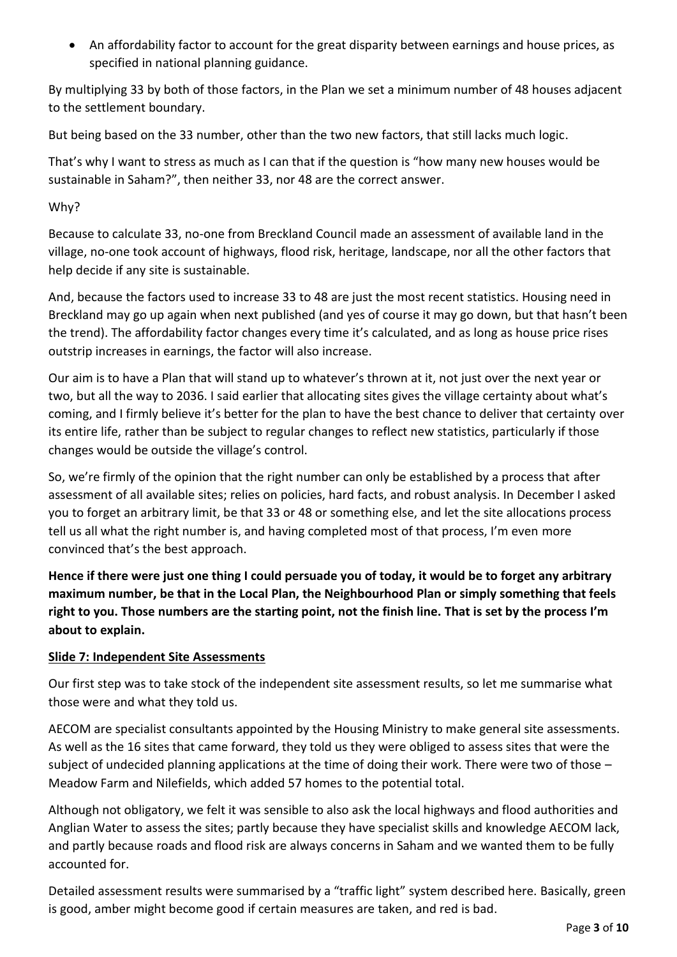• An affordability factor to account for the great disparity between earnings and house prices, as specified in national planning guidance.

By multiplying 33 by both of those factors, in the Plan we set a minimum number of 48 houses adjacent to the settlement boundary.

But being based on the 33 number, other than the two new factors, that still lacks much logic.

That's why I want to stress as much as I can that if the question is "how many new houses would be sustainable in Saham?", then neither 33, nor 48 are the correct answer.

# Why?

Because to calculate 33, no-one from Breckland Council made an assessment of available land in the village, no-one took account of highways, flood risk, heritage, landscape, nor all the other factors that help decide if any site is sustainable.

And, because the factors used to increase 33 to 48 are just the most recent statistics. Housing need in Breckland may go up again when next published (and yes of course it may go down, but that hasn't been the trend). The affordability factor changes every time it's calculated, and as long as house price rises outstrip increases in earnings, the factor will also increase.

Our aim is to have a Plan that will stand up to whatever's thrown at it, not just over the next year or two, but all the way to 2036. I said earlier that allocating sites gives the village certainty about what's coming, and I firmly believe it's better for the plan to have the best chance to deliver that certainty over its entire life, rather than be subject to regular changes to reflect new statistics, particularly if those changes would be outside the village's control.

So, we're firmly of the opinion that the right number can only be established by a process that after assessment of all available sites; relies on policies, hard facts, and robust analysis. In December I asked you to forget an arbitrary limit, be that 33 or 48 or something else, and let the site allocations process tell us all what the right number is, and having completed most of that process, I'm even more convinced that's the best approach.

**Hence if there were just one thing I could persuade you of today, it would be to forget any arbitrary maximum number, be that in the Local Plan, the Neighbourhood Plan or simply something that feels right to you. Those numbers are the starting point, not the finish line. That is set by the process I'm about to explain.**

# **Slide 7: Independent Site Assessments**

Our first step was to take stock of the independent site assessment results, so let me summarise what those were and what they told us.

AECOM are specialist consultants appointed by the Housing Ministry to make general site assessments. As well as the 16 sites that came forward, they told us they were obliged to assess sites that were the subject of undecided planning applications at the time of doing their work. There were two of those – Meadow Farm and Nilefields, which added 57 homes to the potential total.

Although not obligatory, we felt it was sensible to also ask the local highways and flood authorities and Anglian Water to assess the sites; partly because they have specialist skills and knowledge AECOM lack, and partly because roads and flood risk are always concerns in Saham and we wanted them to be fully accounted for.

Detailed assessment results were summarised by a "traffic light" system described here. Basically, green is good, amber might become good if certain measures are taken, and red is bad.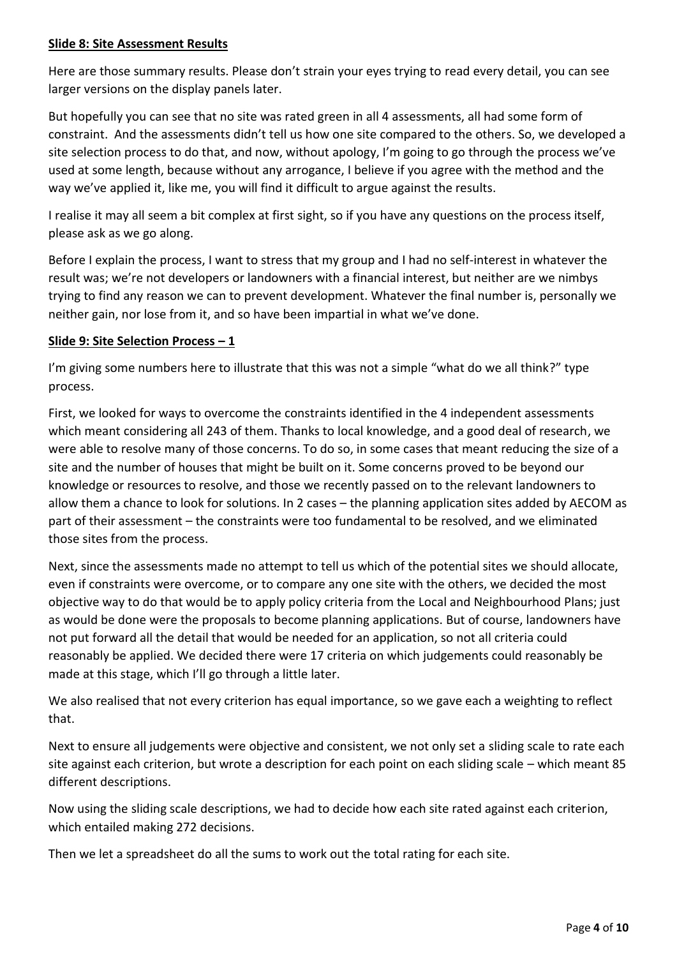### **Slide 8: Site Assessment Results**

Here are those summary results. Please don't strain your eyes trying to read every detail, you can see larger versions on the display panels later.

But hopefully you can see that no site was rated green in all 4 assessments, all had some form of constraint. And the assessments didn't tell us how one site compared to the others. So, we developed a site selection process to do that, and now, without apology, I'm going to go through the process we've used at some length, because without any arrogance, I believe if you agree with the method and the way we've applied it, like me, you will find it difficult to argue against the results.

I realise it may all seem a bit complex at first sight, so if you have any questions on the process itself, please ask as we go along.

Before I explain the process, I want to stress that my group and I had no self-interest in whatever the result was; we're not developers or landowners with a financial interest, but neither are we nimbys trying to find any reason we can to prevent development. Whatever the final number is, personally we neither gain, nor lose from it, and so have been impartial in what we've done.

### **Slide 9: Site Selection Process – 1**

I'm giving some numbers here to illustrate that this was not a simple "what do we all think?" type process.

First, we looked for ways to overcome the constraints identified in the 4 independent assessments which meant considering all 243 of them. Thanks to local knowledge, and a good deal of research, we were able to resolve many of those concerns. To do so, in some cases that meant reducing the size of a site and the number of houses that might be built on it. Some concerns proved to be beyond our knowledge or resources to resolve, and those we recently passed on to the relevant landowners to allow them a chance to look for solutions. In 2 cases – the planning application sites added by AECOM as part of their assessment – the constraints were too fundamental to be resolved, and we eliminated those sites from the process.

Next, since the assessments made no attempt to tell us which of the potential sites we should allocate, even if constraints were overcome, or to compare any one site with the others, we decided the most objective way to do that would be to apply policy criteria from the Local and Neighbourhood Plans; just as would be done were the proposals to become planning applications. But of course, landowners have not put forward all the detail that would be needed for an application, so not all criteria could reasonably be applied. We decided there were 17 criteria on which judgements could reasonably be made at this stage, which I'll go through a little later.

We also realised that not every criterion has equal importance, so we gave each a weighting to reflect that.

Next to ensure all judgements were objective and consistent, we not only set a sliding scale to rate each site against each criterion, but wrote a description for each point on each sliding scale – which meant 85 different descriptions.

Now using the sliding scale descriptions, we had to decide how each site rated against each criterion, which entailed making 272 decisions.

Then we let a spreadsheet do all the sums to work out the total rating for each site.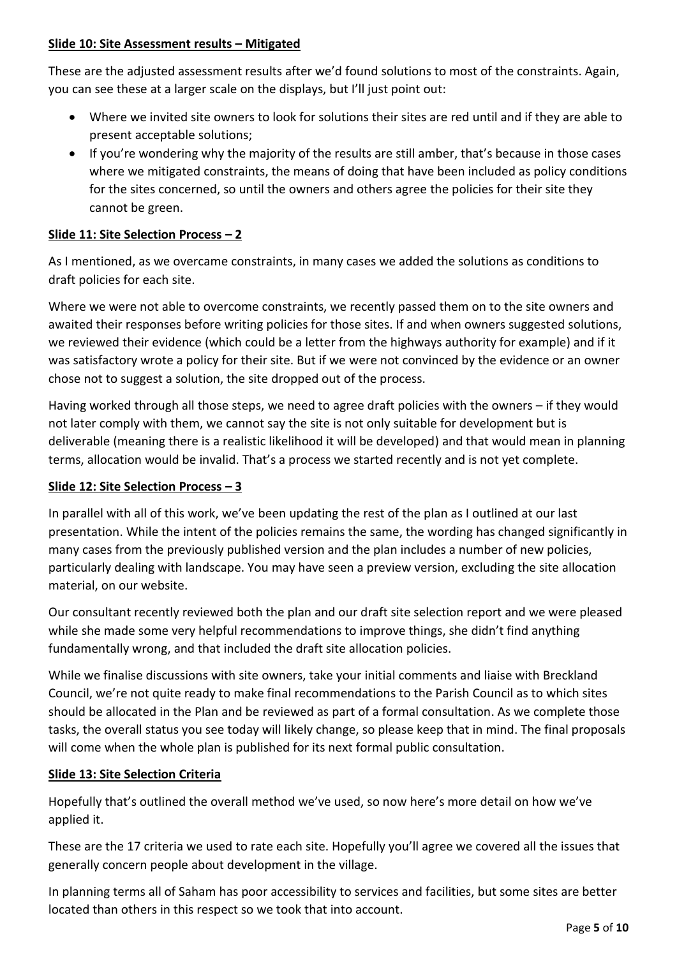# **Slide 10: Site Assessment results – Mitigated**

These are the adjusted assessment results after we'd found solutions to most of the constraints. Again, you can see these at a larger scale on the displays, but I'll just point out:

- Where we invited site owners to look for solutions their sites are red until and if they are able to present acceptable solutions;
- If you're wondering why the majority of the results are still amber, that's because in those cases where we mitigated constraints, the means of doing that have been included as policy conditions for the sites concerned, so until the owners and others agree the policies for their site they cannot be green.

# **Slide 11: Site Selection Process – 2**

As I mentioned, as we overcame constraints, in many cases we added the solutions as conditions to draft policies for each site.

Where we were not able to overcome constraints, we recently passed them on to the site owners and awaited their responses before writing policies for those sites. If and when owners suggested solutions, we reviewed their evidence (which could be a letter from the highways authority for example) and if it was satisfactory wrote a policy for their site. But if we were not convinced by the evidence or an owner chose not to suggest a solution, the site dropped out of the process.

Having worked through all those steps, we need to agree draft policies with the owners – if they would not later comply with them, we cannot say the site is not only suitable for development but is deliverable (meaning there is a realistic likelihood it will be developed) and that would mean in planning terms, allocation would be invalid. That's a process we started recently and is not yet complete.

# **Slide 12: Site Selection Process – 3**

In parallel with all of this work, we've been updating the rest of the plan as I outlined at our last presentation. While the intent of the policies remains the same, the wording has changed significantly in many cases from the previously published version and the plan includes a number of new policies, particularly dealing with landscape. You may have seen a preview version, excluding the site allocation material, on our website.

Our consultant recently reviewed both the plan and our draft site selection report and we were pleased while she made some very helpful recommendations to improve things, she didn't find anything fundamentally wrong, and that included the draft site allocation policies.

While we finalise discussions with site owners, take your initial comments and liaise with Breckland Council, we're not quite ready to make final recommendations to the Parish Council as to which sites should be allocated in the Plan and be reviewed as part of a formal consultation. As we complete those tasks, the overall status you see today will likely change, so please keep that in mind. The final proposals will come when the whole plan is published for its next formal public consultation.

# **Slide 13: Site Selection Criteria**

Hopefully that's outlined the overall method we've used, so now here's more detail on how we've applied it.

These are the 17 criteria we used to rate each site. Hopefully you'll agree we covered all the issues that generally concern people about development in the village.

In planning terms all of Saham has poor accessibility to services and facilities, but some sites are better located than others in this respect so we took that into account.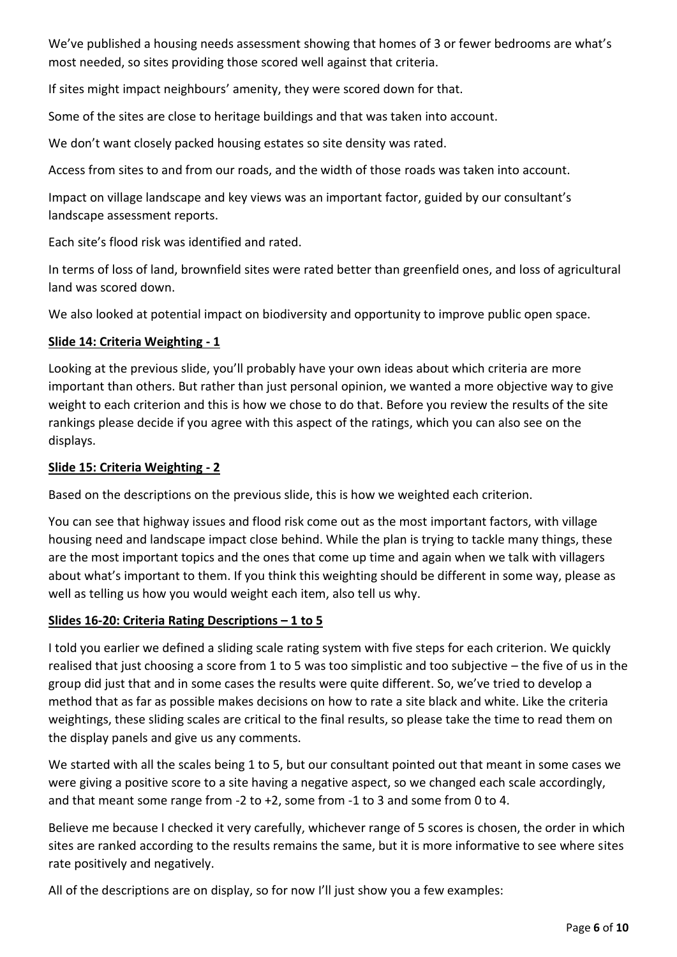We've published a housing needs assessment showing that homes of 3 or fewer bedrooms are what's most needed, so sites providing those scored well against that criteria.

If sites might impact neighbours' amenity, they were scored down for that.

Some of the sites are close to heritage buildings and that was taken into account.

We don't want closely packed housing estates so site density was rated.

Access from sites to and from our roads, and the width of those roads was taken into account.

Impact on village landscape and key views was an important factor, guided by our consultant's landscape assessment reports.

Each site's flood risk was identified and rated.

In terms of loss of land, brownfield sites were rated better than greenfield ones, and loss of agricultural land was scored down.

We also looked at potential impact on biodiversity and opportunity to improve public open space.

### **Slide 14: Criteria Weighting - 1**

Looking at the previous slide, you'll probably have your own ideas about which criteria are more important than others. But rather than just personal opinion, we wanted a more objective way to give weight to each criterion and this is how we chose to do that. Before you review the results of the site rankings please decide if you agree with this aspect of the ratings, which you can also see on the displays.

### **Slide 15: Criteria Weighting - 2**

Based on the descriptions on the previous slide, this is how we weighted each criterion.

You can see that highway issues and flood risk come out as the most important factors, with village housing need and landscape impact close behind. While the plan is trying to tackle many things, these are the most important topics and the ones that come up time and again when we talk with villagers about what's important to them. If you think this weighting should be different in some way, please as well as telling us how you would weight each item, also tell us why.

# **Slides 16-20: Criteria Rating Descriptions – 1 to 5**

I told you earlier we defined a sliding scale rating system with five steps for each criterion. We quickly realised that just choosing a score from 1 to 5 was too simplistic and too subjective – the five of us in the group did just that and in some cases the results were quite different. So, we've tried to develop a method that as far as possible makes decisions on how to rate a site black and white. Like the criteria weightings, these sliding scales are critical to the final results, so please take the time to read them on the display panels and give us any comments.

We started with all the scales being 1 to 5, but our consultant pointed out that meant in some cases we were giving a positive score to a site having a negative aspect, so we changed each scale accordingly, and that meant some range from -2 to +2, some from -1 to 3 and some from 0 to 4.

Believe me because I checked it very carefully, whichever range of 5 scores is chosen, the order in which sites are ranked according to the results remains the same, but it is more informative to see where sites rate positively and negatively.

All of the descriptions are on display, so for now I'll just show you a few examples: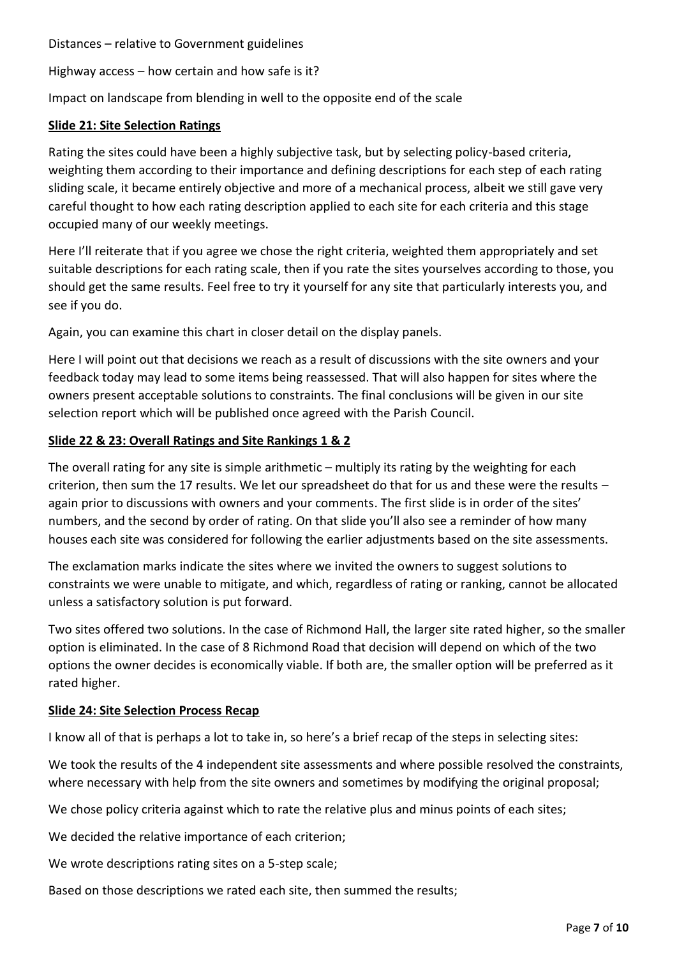Distances – relative to Government guidelines

Highway access – how certain and how safe is it?

Impact on landscape from blending in well to the opposite end of the scale

#### **Slide 21: Site Selection Ratings**

Rating the sites could have been a highly subjective task, but by selecting policy-based criteria, weighting them according to their importance and defining descriptions for each step of each rating sliding scale, it became entirely objective and more of a mechanical process, albeit we still gave very careful thought to how each rating description applied to each site for each criteria and this stage occupied many of our weekly meetings.

Here I'll reiterate that if you agree we chose the right criteria, weighted them appropriately and set suitable descriptions for each rating scale, then if you rate the sites yourselves according to those, you should get the same results. Feel free to try it yourself for any site that particularly interests you, and see if you do.

Again, you can examine this chart in closer detail on the display panels.

Here I will point out that decisions we reach as a result of discussions with the site owners and your feedback today may lead to some items being reassessed. That will also happen for sites where the owners present acceptable solutions to constraints. The final conclusions will be given in our site selection report which will be published once agreed with the Parish Council.

### **Slide 22 & 23: Overall Ratings and Site Rankings 1 & 2**

The overall rating for any site is simple arithmetic – multiply its rating by the weighting for each criterion, then sum the 17 results. We let our spreadsheet do that for us and these were the results – again prior to discussions with owners and your comments. The first slide is in order of the sites' numbers, and the second by order of rating. On that slide you'll also see a reminder of how many houses each site was considered for following the earlier adjustments based on the site assessments.

The exclamation marks indicate the sites where we invited the owners to suggest solutions to constraints we were unable to mitigate, and which, regardless of rating or ranking, cannot be allocated unless a satisfactory solution is put forward.

Two sites offered two solutions. In the case of Richmond Hall, the larger site rated higher, so the smaller option is eliminated. In the case of 8 Richmond Road that decision will depend on which of the two options the owner decides is economically viable. If both are, the smaller option will be preferred as it rated higher.

#### **Slide 24: Site Selection Process Recap**

I know all of that is perhaps a lot to take in, so here's a brief recap of the steps in selecting sites:

We took the results of the 4 independent site assessments and where possible resolved the constraints, where necessary with help from the site owners and sometimes by modifying the original proposal;

We chose policy criteria against which to rate the relative plus and minus points of each sites;

We decided the relative importance of each criterion;

We wrote descriptions rating sites on a 5-step scale;

Based on those descriptions we rated each site, then summed the results;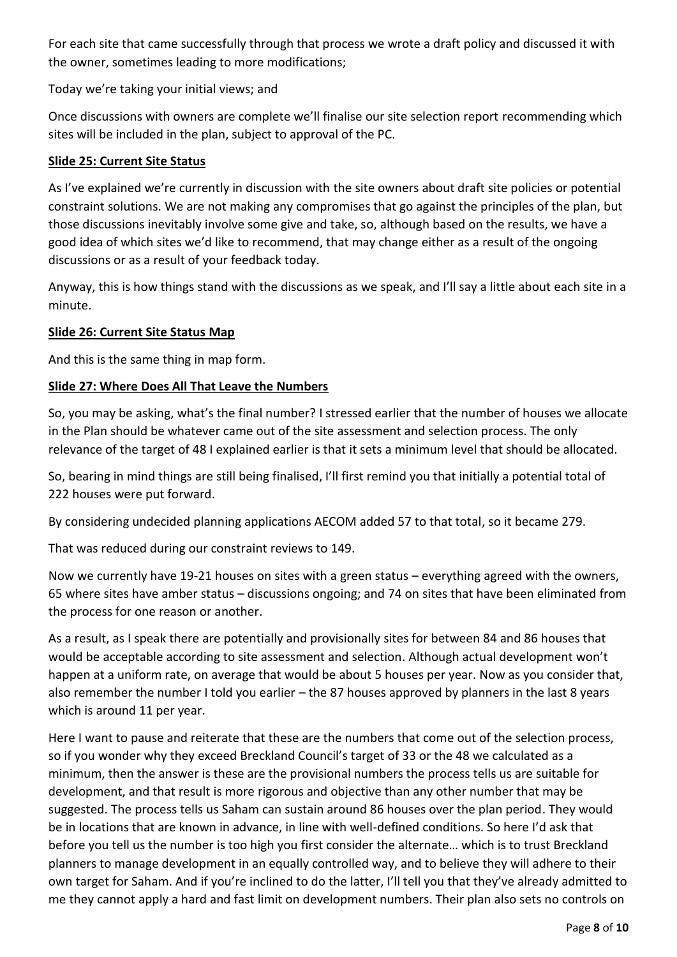For each site that came successfully through that process we wrote a draft policy and discussed it with the owner, sometimes leading to more modifications;

Today we're taking your initial views; and

Once discussions with owners are complete we'll finalise our site selection report recommending which sites will be included in the plan, subject to approval of the PC.

### **Slide 25: Current Site Status**

As I've explained we're currently in discussion with the site owners about draft site policies or potential constraint solutions. We are not making any compromises that go against the principles of the plan, but those discussions inevitably involve some give and take, so, although based on the results, we have a good idea of which sites we'd like to recommend, that may change either as a result of the ongoing discussions or as a result of your feedback today.

Anyway, this is how things stand with the discussions as we speak, and I'll say a little about each site in a minute.

### **Slide 26: Current Site Status Map**

And this is the same thing in map form.

# **Slide 27: Where Does All That Leave the Numbers**

So, you may be asking, what's the final number? I stressed earlier that the number of houses we allocate in the Plan should be whatever came out of the site assessment and selection process. The only relevance of the target of 48 I explained earlier is that it sets a minimum level that should be allocated.

So, bearing in mind things are still being finalised, I'll first remind you that initially a potential total of 222 houses were put forward.

By considering undecided planning applications AECOM added 57 to that total, so it became 279.

That was reduced during our constraint reviews to 149.

Now we currently have 19-21 houses on sites with a green status – everything agreed with the owners, 65 where sites have amber status – discussions ongoing; and 74 on sites that have been eliminated from the process for one reason or another.

As a result, as I speak there are potentially and provisionally sites for between 84 and 86 houses that would be acceptable according to site assessment and selection. Although actual development won't happen at a uniform rate, on average that would be about 5 houses per year. Now as you consider that, also remember the number I told you earlier – the 87 houses approved by planners in the last 8 years which is around 11 per year.

Here I want to pause and reiterate that these are the numbers that come out of the selection process, so if you wonder why they exceed Breckland Council's target of 33 or the 48 we calculated as a minimum, then the answer is these are the provisional numbers the process tells us are suitable for development, and that result is more rigorous and objective than any other number that may be suggested. The process tells us Saham can sustain around 86 houses over the plan period. They would be in locations that are known in advance, in line with well-defined conditions. So here I'd ask that before you tell us the number is too high you first consider the alternate… which is to trust Breckland planners to manage development in an equally controlled way, and to believe they will adhere to their own target for Saham. And if you're inclined to do the latter, I'll tell you that they've already admitted to me they cannot apply a hard and fast limit on development numbers. Their plan also sets no controls on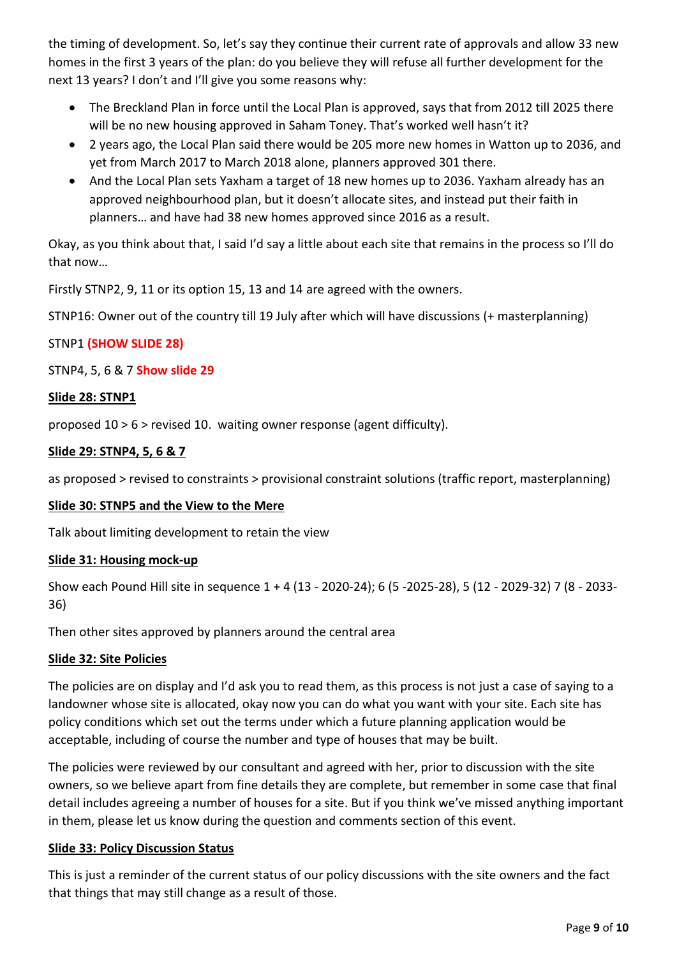the timing of development. So, let's say they continue their current rate of approvals and allow 33 new homes in the first 3 years of the plan: do you believe they will refuse all further development for the next 13 years? I don't and I'll give you some reasons why:

- The Breckland Plan in force until the Local Plan is approved, says that from 2012 till 2025 there will be no new housing approved in Saham Toney. That's worked well hasn't it?
- 2 years ago, the Local Plan said there would be 205 more new homes in Watton up to 2036, and yet from March 2017 to March 2018 alone, planners approved 301 there.
- And the Local Plan sets Yaxham a target of 18 new homes up to 2036. Yaxham already has an approved neighbourhood plan, but it doesn't allocate sites, and instead put their faith in planners… and have had 38 new homes approved since 2016 as a result.

Okay, as you think about that, I said I'd say a little about each site that remains in the process so I'll do that now…

Firstly STNP2, 9, 11 or its option 15, 13 and 14 are agreed with the owners.

STNP16: Owner out of the country till 19 July after which will have discussions (+ masterplanning)

# STNP1 **(SHOW SLIDE 28)**

STNP4, 5, 6 & 7 **Show slide 29**

### **Slide 28: STNP1**

proposed 10 > 6 > revised 10. waiting owner response (agent difficulty).

### **Slide 29: STNP4, 5, 6 & 7**

as proposed > revised to constraints > provisional constraint solutions (traffic report, masterplanning)

#### **Slide 30: STNP5 and the View to the Mere**

Talk about limiting development to retain the view

#### **Slide 31: Housing mock-up**

Show each Pound Hill site in sequence 1 + 4 (13 - 2020-24); 6 (5 -2025-28), 5 (12 - 2029-32) 7 (8 - 2033- 36)

Then other sites approved by planners around the central area

#### **Slide 32: Site Policies**

The policies are on display and I'd ask you to read them, as this process is not just a case of saying to a landowner whose site is allocated, okay now you can do what you want with your site. Each site has policy conditions which set out the terms under which a future planning application would be acceptable, including of course the number and type of houses that may be built.

The policies were reviewed by our consultant and agreed with her, prior to discussion with the site owners, so we believe apart from fine details they are complete, but remember in some case that final detail includes agreeing a number of houses for a site. But if you think we've missed anything important in them, please let us know during the question and comments section of this event.

# **Slide 33: Policy Discussion Status**

This is just a reminder of the current status of our policy discussions with the site owners and the fact that things that may still change as a result of those.